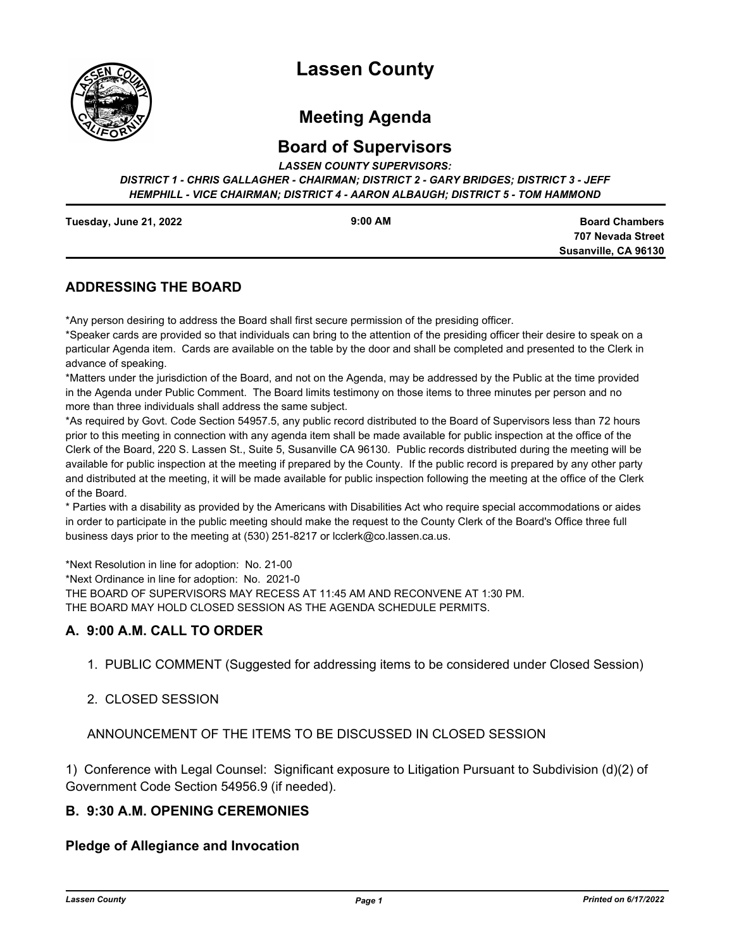

# **Lassen County**

# **Meeting Agenda**

## **Board of Supervisors**

*LASSEN COUNTY SUPERVISORS:* 

*DISTRICT 1 - CHRIS GALLAGHER - CHAIRMAN; DISTRICT 2 - GARY BRIDGES; DISTRICT 3 - JEFF HEMPHILL - VICE CHAIRMAN; DISTRICT 4 - AARON ALBAUGH; DISTRICT 5 - TOM HAMMOND*

| Tuesday, June 21, 2022 | $9:00$ AM |
|------------------------|-----------|
|                        |           |

**Board Chambers 707 Nevada Street Susanville, CA 96130**

## **ADDRESSING THE BOARD**

\*Any person desiring to address the Board shall first secure permission of the presiding officer.

\*Speaker cards are provided so that individuals can bring to the attention of the presiding officer their desire to speak on a particular Agenda item. Cards are available on the table by the door and shall be completed and presented to the Clerk in advance of speaking.

\*Matters under the jurisdiction of the Board, and not on the Agenda, may be addressed by the Public at the time provided in the Agenda under Public Comment. The Board limits testimony on those items to three minutes per person and no more than three individuals shall address the same subject.

\*As required by Govt. Code Section 54957.5, any public record distributed to the Board of Supervisors less than 72 hours prior to this meeting in connection with any agenda item shall be made available for public inspection at the office of the Clerk of the Board, 220 S. Lassen St., Suite 5, Susanville CA 96130. Public records distributed during the meeting will be available for public inspection at the meeting if prepared by the County. If the public record is prepared by any other party and distributed at the meeting, it will be made available for public inspection following the meeting at the office of the Clerk of the Board.

\* Parties with a disability as provided by the Americans with Disabilities Act who require special accommodations or aides in order to participate in the public meeting should make the request to the County Clerk of the Board's Office three full business days prior to the meeting at (530) 251-8217 or lcclerk@co.lassen.ca.us.

\*Next Resolution in line for adoption: No. 21-00 \*Next Ordinance in line for adoption: No. 2021-0 THE BOARD OF SUPERVISORS MAY RECESS AT 11:45 AM AND RECONVENE AT 1:30 PM. THE BOARD MAY HOLD CLOSED SESSION AS THE AGENDA SCHEDULE PERMITS.

## **A. 9:00 A.M. CALL TO ORDER**

1. PUBLIC COMMENT (Suggested for addressing items to be considered under Closed Session)

#### 2. CLOSED SESSION

ANNOUNCEMENT OF THE ITEMS TO BE DISCUSSED IN CLOSED SESSION

1) Conference with Legal Counsel: Significant exposure to Litigation Pursuant to Subdivision (d)(2) of Government Code Section 54956.9 (if needed).

#### **B. 9:30 A.M. OPENING CEREMONIES**

#### **Pledge of Allegiance and Invocation**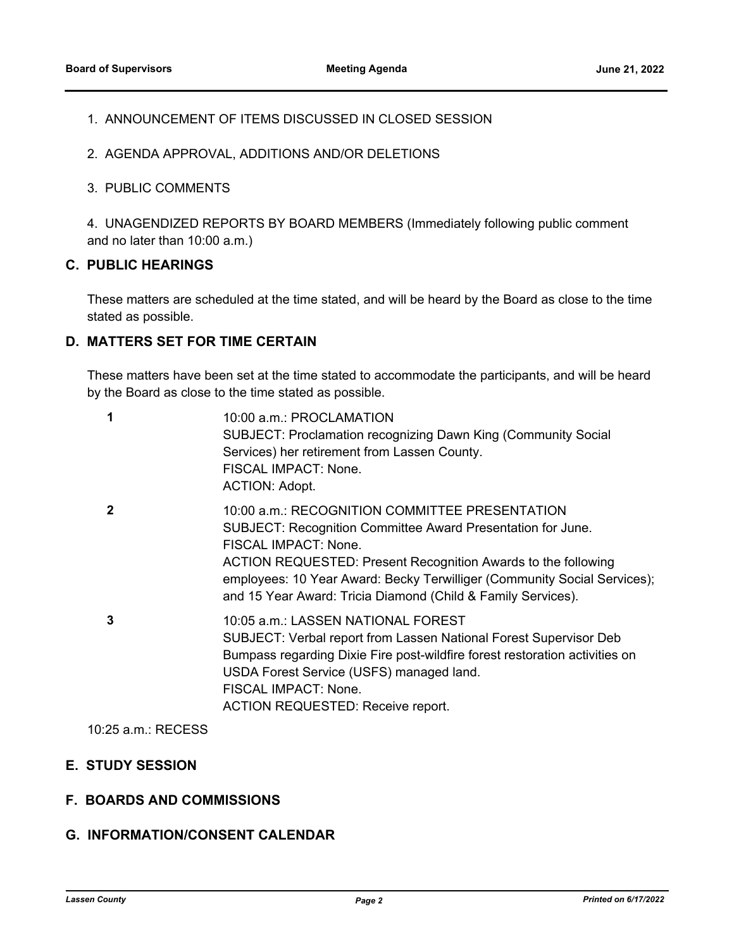## 1. ANNOUNCEMENT OF ITEMS DISCUSSED IN CLOSED SESSION

- 2. AGENDA APPROVAL, ADDITIONS AND/OR DELETIONS
- 3. PUBLIC COMMENTS

4. UNAGENDIZED REPORTS BY BOARD MEMBERS (Immediately following public comment and no later than 10:00 a.m.)

## **C. PUBLIC HEARINGS**

These matters are scheduled at the time stated, and will be heard by the Board as close to the time stated as possible.

#### **D. MATTERS SET FOR TIME CERTAIN**

These matters have been set at the time stated to accommodate the participants, and will be heard by the Board as close to the time stated as possible.

| 1            | 10:00 a.m.: PROCLAMATION<br><b>SUBJECT: Proclamation recognizing Dawn King (Community Social</b><br>Services) her retirement from Lassen County.<br>FISCAL IMPACT: None.<br><b>ACTION: Adopt.</b>                                                                                                                                                  |
|--------------|----------------------------------------------------------------------------------------------------------------------------------------------------------------------------------------------------------------------------------------------------------------------------------------------------------------------------------------------------|
| $\mathbf{c}$ | 10:00 a.m.: RECOGNITION COMMITTEE PRESENTATION<br>SUBJECT: Recognition Committee Award Presentation for June.<br>FISCAL IMPACT: None.<br>ACTION REQUESTED: Present Recognition Awards to the following<br>employees: 10 Year Award: Becky Terwilliger (Community Social Services);<br>and 15 Year Award: Tricia Diamond (Child & Family Services). |
| 3            | 10:05 a.m.: LASSEN NATIONAL FOREST<br>SUBJECT: Verbal report from Lassen National Forest Supervisor Deb<br>Bumpass regarding Dixie Fire post-wildfire forest restoration activities on<br>USDA Forest Service (USFS) managed land.<br>FISCAL IMPACT: None.<br><b>ACTION REQUESTED: Receive report.</b>                                             |

10:25 a.m.: RECESS

## **E. STUDY SESSION**

#### **F. BOARDS AND COMMISSIONS**

## **G. INFORMATION/CONSENT CALENDAR**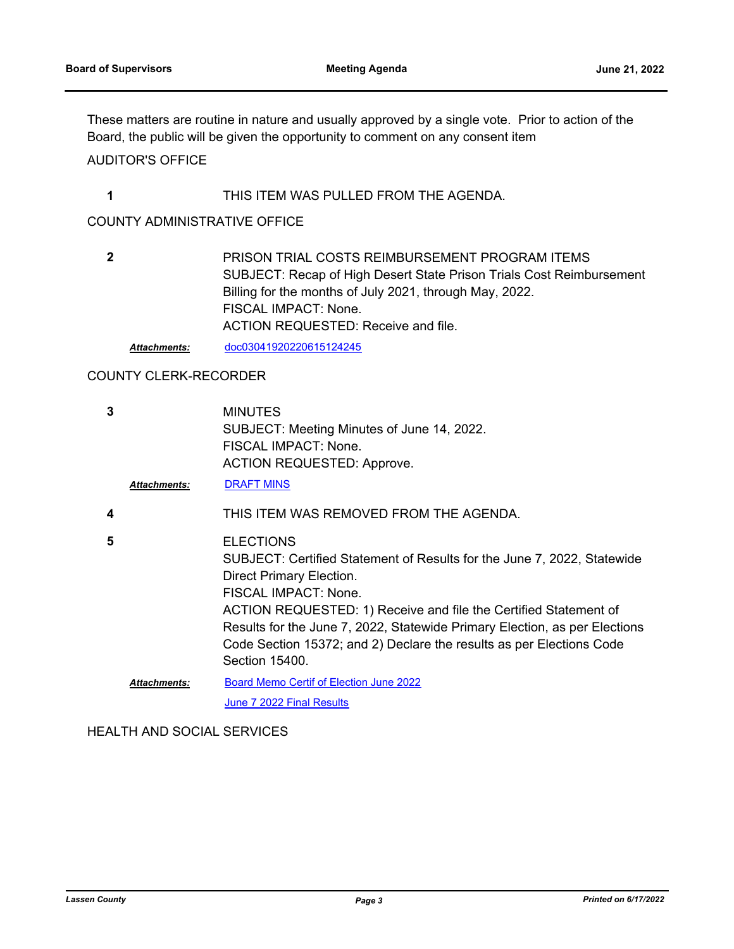These matters are routine in nature and usually approved by a single vote. Prior to action of the Board, the public will be given the opportunity to comment on any consent item

## AUDITOR'S OFFICE

#### **1** THIS ITEM WAS PULLED FROM THE AGENDA.

#### COUNTY ADMINISTRATIVE OFFICE

| $\mathbf{2}$ | PRISON TRIAL COSTS REIMBURSEMENT PROGRAM ITEMS                       |
|--------------|----------------------------------------------------------------------|
|              | SUBJECT: Recap of High Desert State Prison Trials Cost Reimbursement |
|              | Billing for the months of July 2021, through May, 2022.              |
|              | FISCAL IMPACT: None.                                                 |
|              | ACTION REQUESTED: Receive and file.                                  |
|              |                                                                      |

*Attachments:* [doc03041920220615124245](http://lassen.legistar.com/gateway.aspx?M=F&ID=a2debedd-0054-4c80-ae9b-1f352644f999.pdf)

## COUNTY CLERK-RECORDER

| 3 | <b>Attachments:</b> | <b>MINUTES</b><br>SUBJECT: Meeting Minutes of June 14, 2022.<br>FISCAL IMPACT: None.<br><b>ACTION REQUESTED: Approve.</b><br><b>DRAFT MINS</b>                                                                                                                                                                                                                                              |
|---|---------------------|---------------------------------------------------------------------------------------------------------------------------------------------------------------------------------------------------------------------------------------------------------------------------------------------------------------------------------------------------------------------------------------------|
| 4 |                     | THIS ITEM WAS REMOVED FROM THE AGENDA.                                                                                                                                                                                                                                                                                                                                                      |
| 5 |                     | <b>ELECTIONS</b><br>SUBJECT: Certified Statement of Results for the June 7, 2022, Statewide<br>Direct Primary Election.<br>FISCAL IMPACT: None.<br>ACTION REQUESTED: 1) Receive and file the Certified Statement of<br>Results for the June 7, 2022, Statewide Primary Election, as per Elections<br>Code Section 15372; and 2) Declare the results as per Elections Code<br>Section 15400. |
|   | <b>Attachments:</b> | <b>Board Memo Certif of Election June 2022</b><br>June 7 2022 Final Results                                                                                                                                                                                                                                                                                                                 |

HEALTH AND SOCIAL SERVICES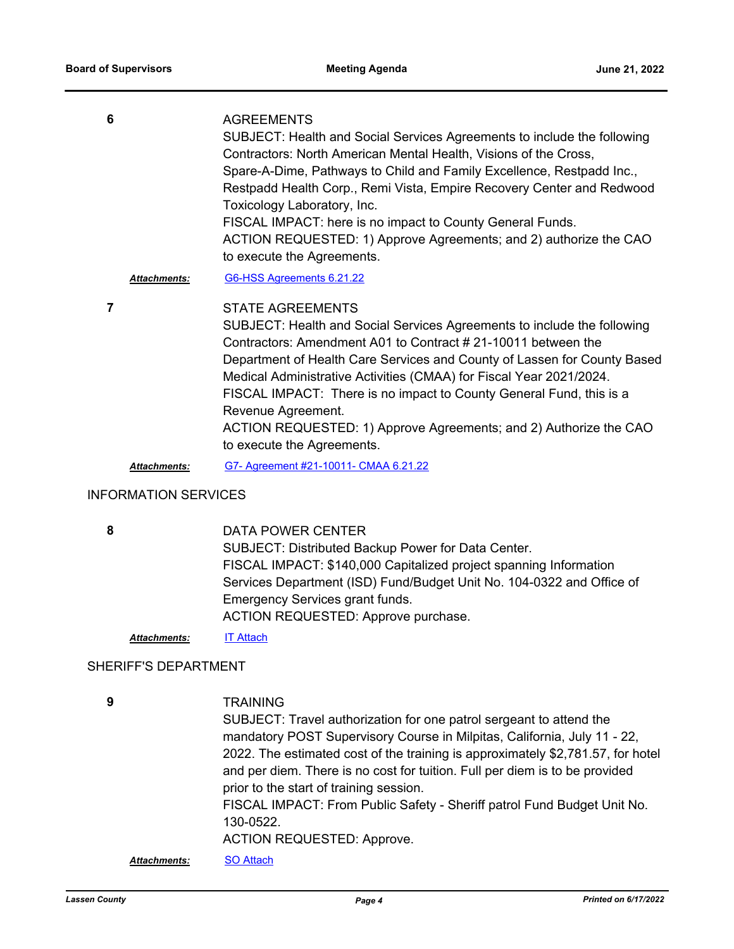| 6 |                     | <b>AGREEMENTS</b>                                                       |
|---|---------------------|-------------------------------------------------------------------------|
|   |                     | SUBJECT: Health and Social Services Agreements to include the following |
|   |                     | Contractors: North American Mental Health, Visions of the Cross,        |
|   |                     | Spare-A-Dime, Pathways to Child and Family Excellence, Restpadd Inc.,   |
|   |                     | Restpadd Health Corp., Remi Vista, Empire Recovery Center and Redwood   |
|   |                     | Toxicology Laboratory, Inc.                                             |
|   |                     | FISCAL IMPACT: here is no impact to County General Funds.               |
|   |                     | ACTION REQUESTED: 1) Approve Agreements; and 2) authorize the CAO       |
|   |                     | to execute the Agreements.                                              |
|   | <b>Attachments:</b> | G6-HSS Agreements 6.21.22                                               |
|   |                     | $C T \wedge T T$ $A C T T T \wedge T T \wedge T T$                      |

**7**

STATE AGREEMENTS

SUBJECT: Health and Social Services Agreements to include the following Contractors: Amendment A01 to Contract # 21-10011 between the Department of Health Care Services and County of Lassen for County Based Medical Administrative Activities (CMAA) for Fiscal Year 2021/2024. FISCAL IMPACT: There is no impact to County General Fund, this is a Revenue Agreement. ACTION REQUESTED: 1) Approve Agreements; and 2) Authorize the CAO to execute the Agreements.

*Attachments:* [G7- Agreement #21-10011- CMAA 6.21.22](http://lassen.legistar.com/gateway.aspx?M=F&ID=d6fd0a0f-c55c-479b-b602-a0ccb7323fe1.pdf)

#### INFORMATION SERVICES

**8**

DATA POWER CENTER SUBJECT: Distributed Backup Power for Data Center. FISCAL IMPACT: \$140,000 Capitalized project spanning Information Services Department (ISD) Fund/Budget Unit No. 104-0322 and Office of Emergency Services grant funds. ACTION REQUESTED: Approve purchase.

*Attachments:* [IT Attach](http://lassen.legistar.com/gateway.aspx?M=F&ID=967bd160-c91f-44a4-815c-f6c1d5785468.pdf)

#### SHERIFF'S DEPARTMENT

**9**

**TRAINING** 

SUBJECT: Travel authorization for one patrol sergeant to attend the mandatory POST Supervisory Course in Milpitas, California, July 11 - 22, 2022. The estimated cost of the training is approximately \$2,781.57, for hotel and per diem. There is no cost for tuition. Full per diem is to be provided prior to the start of training session. FISCAL IMPACT: From Public Safety - Sheriff patrol Fund Budget Unit No. 130-0522. ACTION REQUESTED: Approve.

*Attachments:* [SO Attach](http://lassen.legistar.com/gateway.aspx?M=F&ID=b545ce89-4705-4bb1-aa43-212508214600.pdf)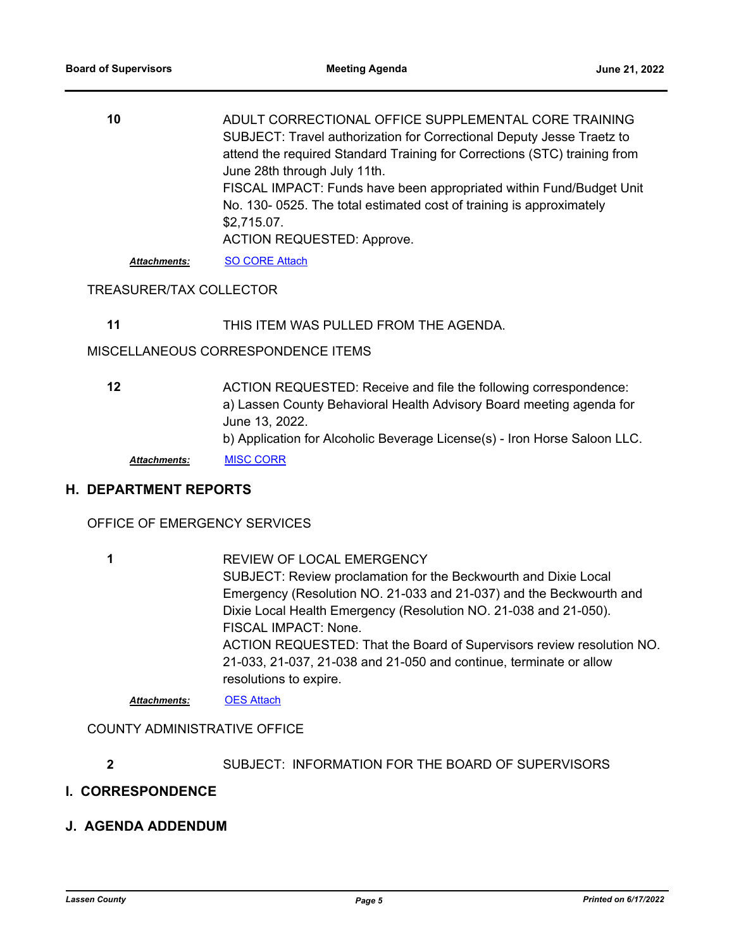| 10                  | ADULT CORRECTIONAL OFFICE SUPPLEMENTAL CORE TRAINING<br>SUBJECT: Travel authorization for Correctional Deputy Jesse Traetz to |
|---------------------|-------------------------------------------------------------------------------------------------------------------------------|
|                     | attend the required Standard Training for Corrections (STC) training from                                                     |
|                     | June 28th through July 11th.                                                                                                  |
|                     | FISCAL IMPACT: Funds have been appropriated within Fund/Budget Unit                                                           |
|                     | No. 130-0525. The total estimated cost of training is approximately                                                           |
|                     | \$2,715.07.                                                                                                                   |
|                     | <b>ACTION REQUESTED: Approve.</b>                                                                                             |
| <b>Attachments:</b> | <b>SO CORE Attach</b>                                                                                                         |

#### TREASURER/TAX COLLECTOR

**11** THIS ITEM WAS PULLED FROM THE AGENDA.

MISCELLANEOUS CORRESPONDENCE ITEMS

ACTION REQUESTED: Receive and file the following correspondence: a) Lassen County Behavioral Health Advisory Board meeting agenda for June 13, 2022. b) Application for Alcoholic Beverage License(s) - Iron Horse Saloon LLC. **12** *Attachments:* [MISC CORR](http://lassen.legistar.com/gateway.aspx?M=F&ID=13218ca3-31e4-4bb7-acfc-a8d2194da691.pdf)

#### **H. DEPARTMENT REPORTS**

OFFICE OF EMERGENCY SERVICES

REVIEW OF LOCAL EMERGENCY SUBJECT: Review proclamation for the Beckwourth and Dixie Local Emergency (Resolution NO. 21-033 and 21-037) and the Beckwourth and Dixie Local Health Emergency (Resolution NO. 21-038 and 21-050). FISCAL IMPACT: None. ACTION REQUESTED: That the Board of Supervisors review resolution NO. 21-033, 21-037, 21-038 and 21-050 and continue, terminate or allow resolutions to expire. **1**

*Attachments:* [OES Attach](http://lassen.legistar.com/gateway.aspx?M=F&ID=7ba8bc9d-fc80-4ef8-bc60-28dccc18848e.pdf)

COUNTY ADMINISTRATIVE OFFICE

**2** SUBJECT: INFORMATION FOR THE BOARD OF SUPERVISORS

#### **I. CORRESPONDENCE**

**J. AGENDA ADDENDUM**